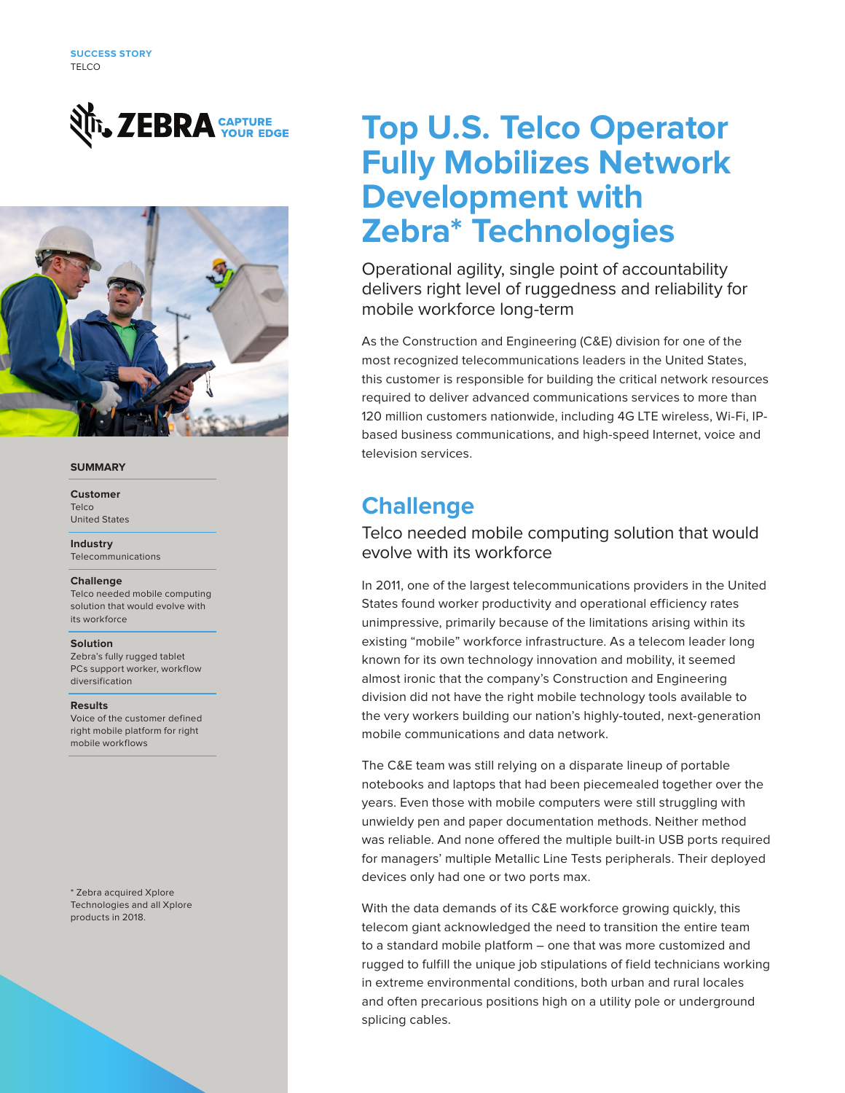



### **SUMMARY**

#### **Customer** Telco United States

**Industry** Telecommunications

### **Challenge**

Telco needed mobile computing solution that would evolve with its workforce

#### **Solution**

Zebra's fully rugged tablet PCs support worker, workflow diversification

#### **Results**

Voice of the customer defined right mobile platform for right mobile workflows

\* Zebra acquired Xplore Technologies and all Xplore products in 2018.

# **Top U.S. Telco Operator Fully Mobilizes Network Development with Zebra\* Technologies**

Operational agility, single point of accountability delivers right level of ruggedness and reliability for mobile workforce long-term

As the Construction and Engineering (C&E) division for one of the most recognized telecommunications leaders in the United States, this customer is responsible for building the critical network resources required to deliver advanced communications services to more than 120 million customers nationwide, including 4G LTE wireless, Wi-Fi, IPbased business communications, and high-speed Internet, voice and television services.

## **Challenge**

### Telco needed mobile computing solution that would evolve with its workforce

In 2011, one of the largest telecommunications providers in the United States found worker productivity and operational efficiency rates unimpressive, primarily because of the limitations arising within its existing "mobile" workforce infrastructure. As a telecom leader long known for its own technology innovation and mobility, it seemed almost ironic that the company's Construction and Engineering division did not have the right mobile technology tools available to the very workers building our nation's highly-touted, next-generation mobile communications and data network.

The C&E team was still relying on a disparate lineup of portable notebooks and laptops that had been piecemealed together over the years. Even those with mobile computers were still struggling with unwieldy pen and paper documentation methods. Neither method was reliable. And none offered the multiple built-in USB ports required for managers' multiple Metallic Line Tests peripherals. Their deployed devices only had one or two ports max.

With the data demands of its C&E workforce growing quickly, this telecom giant acknowledged the need to transition the entire team to a standard mobile platform – one that was more customized and rugged to fulfill the unique job stipulations of field technicians working in extreme environmental conditions, both urban and rural locales and often precarious positions high on a utility pole or underground splicing cables.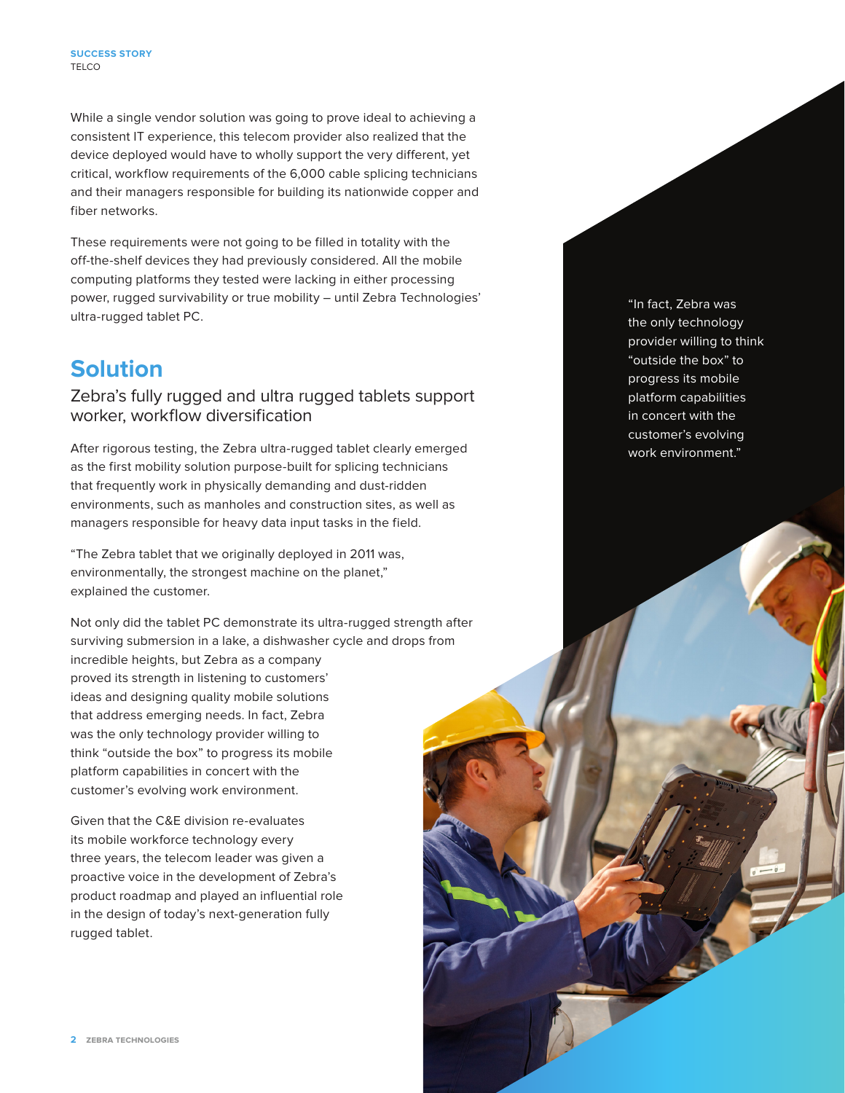While a single vendor solution was going to prove ideal to achieving a consistent IT experience, this telecom provider also realized that the device deployed would have to wholly support the very different, yet critical, workflow requirements of the 6,000 cable splicing technicians and their managers responsible for building its nationwide copper and fiber networks.

These requirements were not going to be filled in totality with the off-the-shelf devices they had previously considered. All the mobile computing platforms they tested were lacking in either processing power, rugged survivability or true mobility – until Zebra Technologies' ultra-rugged tablet PC.

## **Solution**

### Zebra's fully rugged and ultra rugged tablets support worker, workflow diversification

After rigorous testing, the Zebra ultra-rugged tablet clearly emerged as the first mobility solution purpose-built for splicing technicians that frequently work in physically demanding and dust-ridden environments, such as manholes and construction sites, as well as managers responsible for heavy data input tasks in the field.

"The Zebra tablet that we originally deployed in 2011 was, environmentally, the strongest machine on the planet," explained the customer.

Not only did the tablet PC demonstrate its ultra-rugged strength after surviving submersion in a lake, a dishwasher cycle and drops from incredible heights, but Zebra as a company proved its strength in listening to customers' ideas and designing quality mobile solutions that address emerging needs. In fact, Zebra was the only technology provider willing to think "outside the box" to progress its mobile platform capabilities in concert with the customer's evolving work environment.

Given that the C&E division re-evaluates its mobile workforce technology every three years, the telecom leader was given a proactive voice in the development of Zebra's product roadmap and played an influential role in the design of today's next-generation fully rugged tablet.

"In fact, Zebra was the only technology provider willing to think "outside the box" to progress its mobile platform capabilities in concert with the customer's evolving work environment."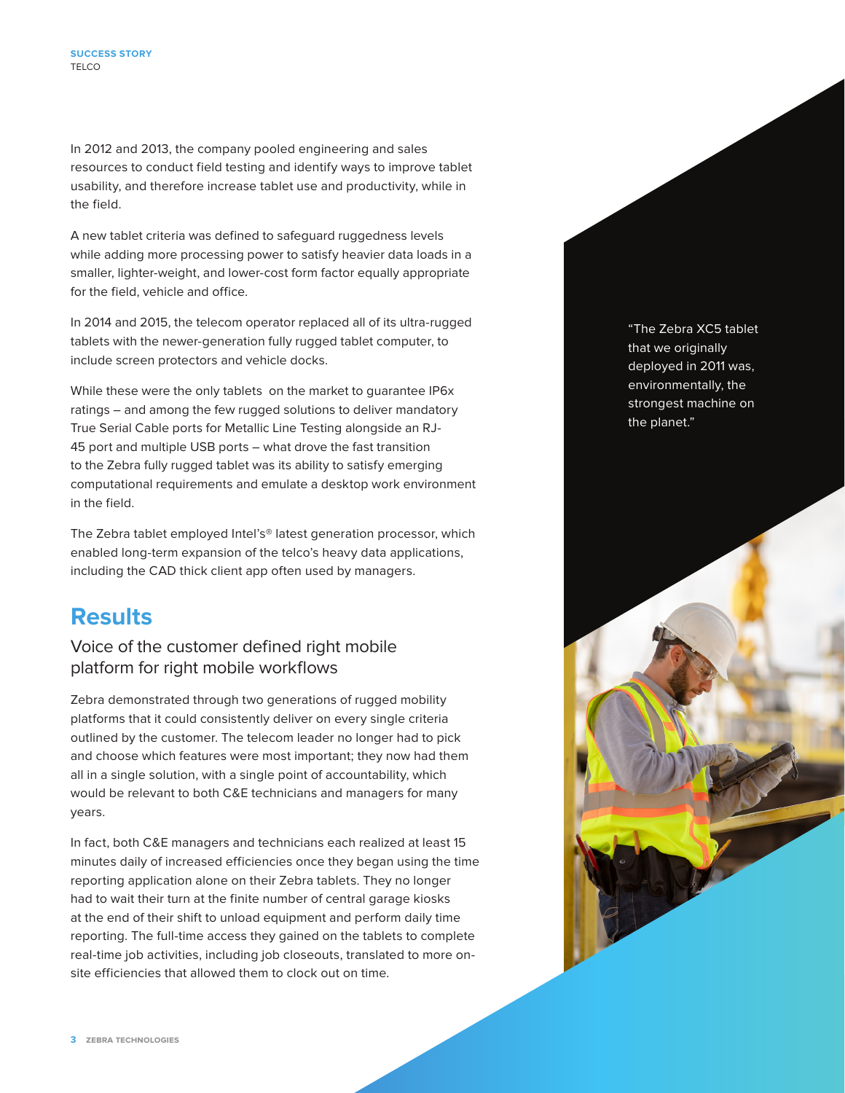In 2012 and 2013, the company pooled engineering and sales resources to conduct field testing and identify ways to improve tablet usability, and therefore increase tablet use and productivity, while in the field.

A new tablet criteria was defined to safeguard ruggedness levels while adding more processing power to satisfy heavier data loads in a smaller, lighter-weight, and lower-cost form factor equally appropriate for the field, vehicle and office.

In 2014 and 2015, the telecom operator replaced all of its ultra-rugged tablets with the newer-generation fully rugged tablet computer, to include screen protectors and vehicle docks.

While these were the only tablets on the market to guarantee IP6x ratings – and among the few rugged solutions to deliver mandatory True Serial Cable ports for Metallic Line Testing alongside an RJ-45 port and multiple USB ports – what drove the fast transition to the Zebra fully rugged tablet was its ability to satisfy emerging computational requirements and emulate a desktop work environment in the field.

The Zebra tablet employed Intel's® latest generation processor, which enabled long-term expansion of the telco's heavy data applications, including the CAD thick client app often used by managers.

## **Results**

## Voice of the customer defined right mobile platform for right mobile workflows

Zebra demonstrated through two generations of rugged mobility platforms that it could consistently deliver on every single criteria outlined by the customer. The telecom leader no longer had to pick and choose which features were most important; they now had them all in a single solution, with a single point of accountability, which would be relevant to both C&E technicians and managers for many years.

In fact, both C&E managers and technicians each realized at least 15 minutes daily of increased efficiencies once they began using the time reporting application alone on their Zebra tablets. They no longer had to wait their turn at the finite number of central garage kiosks at the end of their shift to unload equipment and perform daily time reporting. The full-time access they gained on the tablets to complete real-time job activities, including job closeouts, translated to more onsite efficiencies that allowed them to clock out on time.

"The Zebra XC5 tablet that we originally deployed in 2011 was, environmentally, the strongest machine on the planet."